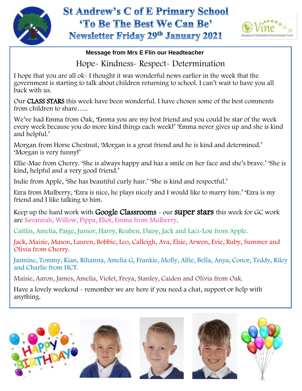

## **St Andrew's C of E Primary School** 'To Be The Best We Can Be' **Newsletter Friday 29th January 2021**



## **Message from Mrs E Flin our Headteacher**

## Hope- Kindness- Respect- Determination

I hope that you are all ok- I thought it was wonderful news earlier in the week that the government is starting to talk about children returning to school. I can't wait to have you all back with us.

Our CLASS STARS this week have been wonderful. I have chosen some of the best comments from children to share…..

We've had Emma from Oak, 'Emma you are my best friend and you could be star of the week every week because you do more kind things each week!' 'Emma never gives up and she is kind and helpful.'

Morgan from Horse Chestnut, 'Morgan is a great friend and he is kind and determined.' 'Morgan is very funny!'

Ellie-Mae from Cherry. 'She is always happy and has a smile on her face and she's brave.' 'She is kind, helpful and a very good friend.'

 Indie from Apple, 'She has beautiful curly hair.' 'She is kind and respectful.'

Ezra from Mulberry, 'Ezra is nice, he plays nicely and I would like to marry him.' 'Ezra is my friend and I like talking to him.

Keep up the hard work with **Google Classrooms** - our **super stars** this week for GC work are Savannah, Willow, Pippa, Eliot, Emma from Mulberry.

Caitlin, Amelia, Paige, Junior, Harry, Reuben, Daisy, Jack and Laci-Lou from Apple.

Jack, Maisie, Mason, Lauren, Bobbie, Leo, Calleigh, Ava, Elsie, Arwen, Evie, Ruby, Summer and Olivia from Cherry.

Jasmine, Tommy, Kian, Rihanna, Amelia G, Frankie, Molly, Alfie, Bella, Anya, Conor, Teddy, Riley and Charlie from HCT.

Maisie, Aaron, James, Amelia, Violet, Freya, Stanley, Caiden and Olivia from Oak.

Have a lovely weekend - remember we are here if you need a chat, support or help with anything.

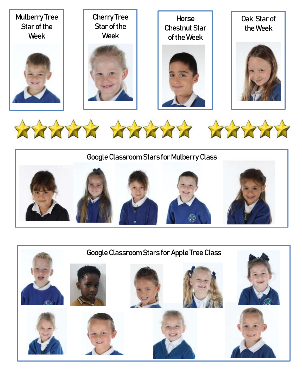





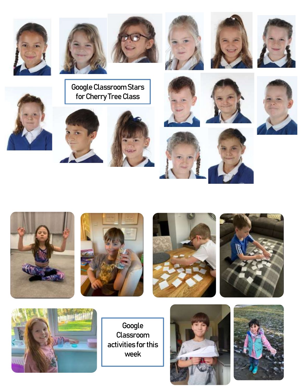

































Google Classroom activities for this week